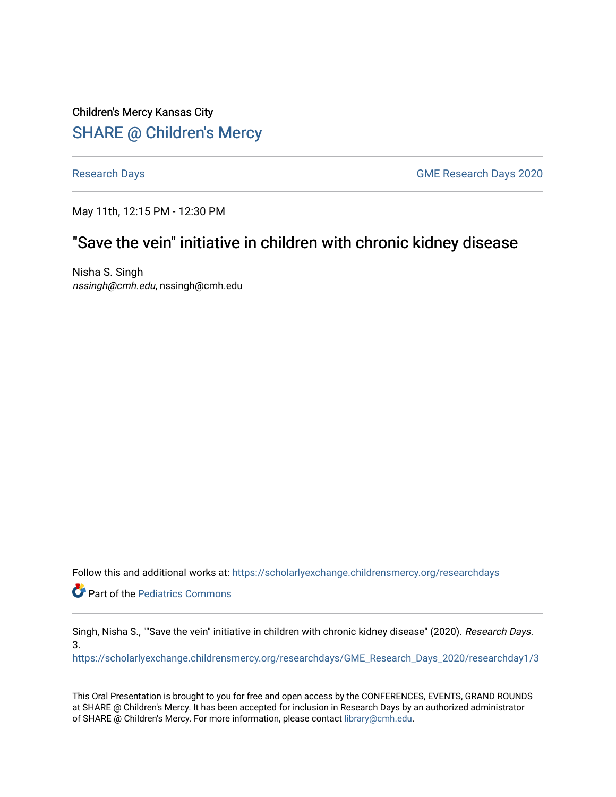Children's Mercy Kansas City SHARE @ Children's Mercy

[Research Days](https://scholarlyexchange.childrensmercy.org/researchdays) **GME Research Days** 2020

May 11th, 12:15 PM - 12:30 PM

# "Save the vein" initiative in children with chronic kidney disease

Nisha S. Singh nssingh@cmh.edu, nssingh@cmh.edu

Follow this and additional works at: [https://scholarlyexchange.childrensmercy.org/researchdays](https://scholarlyexchange.childrensmercy.org/researchdays?utm_source=scholarlyexchange.childrensmercy.org%2Fresearchdays%2FGME_Research_Days_2020%2Fresearchday1%2F3&utm_medium=PDF&utm_campaign=PDFCoverPages) 

**Part of the [Pediatrics Commons](http://network.bepress.com/hgg/discipline/700?utm_source=scholarlyexchange.childrensmercy.org%2Fresearchdays%2FGME_Research_Days_2020%2Fresearchday1%2F3&utm_medium=PDF&utm_campaign=PDFCoverPages)** 

Singh, Nisha S., ""Save the vein" initiative in children with chronic kidney disease" (2020). Research Days. 3.

[https://scholarlyexchange.childrensmercy.org/researchdays/GME\\_Research\\_Days\\_2020/researchday1/3](https://scholarlyexchange.childrensmercy.org/researchdays/GME_Research_Days_2020/researchday1/3?utm_source=scholarlyexchange.childrensmercy.org%2Fresearchdays%2FGME_Research_Days_2020%2Fresearchday1%2F3&utm_medium=PDF&utm_campaign=PDFCoverPages)

This Oral Presentation is brought to you for free and open access by the CONFERENCES, EVENTS, GRAND ROUNDS at SHARE @ Children's Mercy. It has been accepted for inclusion in Research Days by an authorized administrator of SHARE @ Children's Mercy. For more information, please contact [library@cmh.edu.](mailto:library@cmh.edu)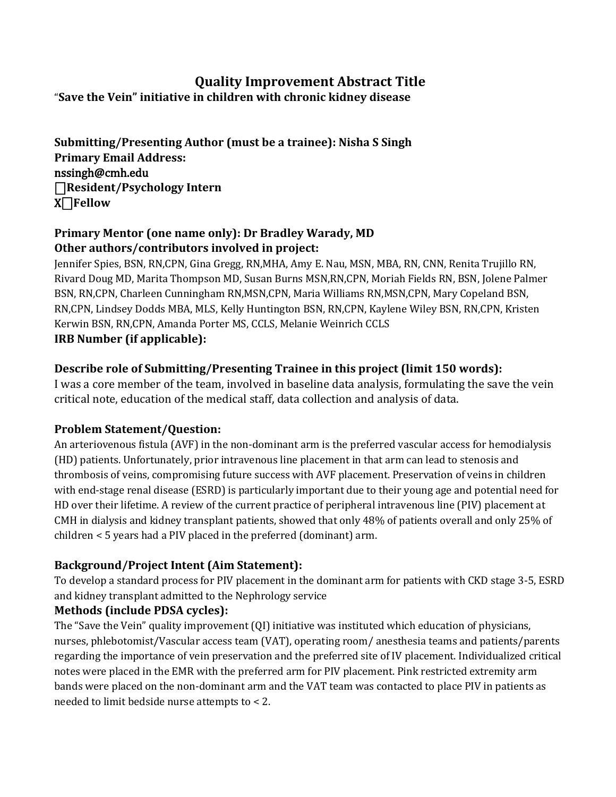## **Quality Improvement Abstract Title**

"**Save the Vein" initiative in children with chronic kidney disease**

**Submitting/Presenting Author (must be a trainee): Nisha S Singh Primary Email Address:** nssingh@cmh.edu ⎕**Resident/Psychology Intern** X⎕**Fellow** 

#### **Primary Mentor (one name only): Dr Bradley Warady, MD Other authors/contributors involved in project:**

Jennifer Spies, BSN, RN,CPN, Gina Gregg, RN,MHA, Amy E. Nau, MSN, MBA, RN, CNN, Renita Trujillo RN, Rivard Doug MD, Marita Thompson MD, Susan Burns MSN,RN,CPN, Moriah Fields RN, BSN, Jolene Palmer BSN, RN,CPN, Charleen Cunningham RN,MSN,CPN, Maria Williams RN,MSN,CPN, Mary Copeland BSN, RN,CPN, Lindsey Dodds MBA, MLS, Kelly Huntington BSN, RN,CPN, Kaylene Wiley BSN, RN,CPN, Kristen Kerwin BSN, RN,CPN, Amanda Porter MS, CCLS, Melanie Weinrich CCLS **IRB Number (if applicable):**

### **Describe role of Submitting/Presenting Trainee in this project (limit 150 words):**

I was a core member of the team, involved in baseline data analysis, formulating the save the vein critical note, education of the medical staff, data collection and analysis of data.

### **Problem Statement/Question:**

An arteriovenous fistula (AVF) in the non-dominant arm is the preferred vascular access for hemodialysis (HD) patients. Unfortunately, prior intravenous line placement in that arm can lead to stenosis and thrombosis of veins, compromising future success with AVF placement. Preservation of veins in children with end-stage renal disease (ESRD) is particularly important due to their young age and potential need for HD over their lifetime. A review of the current practice of peripheral intravenous line (PIV) placement at CMH in dialysis and kidney transplant patients, showed that only 48% of patients overall and only 25% of children < 5 years had a PIV placed in the preferred (dominant) arm.

### **Background/Project Intent (Aim Statement):**

To develop a standard process for PIV placement in the dominant arm for patients with CKD stage 3-5, ESRD and kidney transplant admitted to the Nephrology service

### **Methods (include PDSA cycles):**

The "Save the Vein" quality improvement (QI) initiative was instituted which education of physicians, nurses, phlebotomist/Vascular access team (VAT), operating room/ anesthesia teams and patients/parents regarding the importance of vein preservation and the preferred site of IV placement. Individualized critical notes were placed in the EMR with the preferred arm for PIV placement. Pink restricted extremity arm bands were placed on the non-dominant arm and the VAT team was contacted to place PIV in patients as needed to limit bedside nurse attempts to < 2.